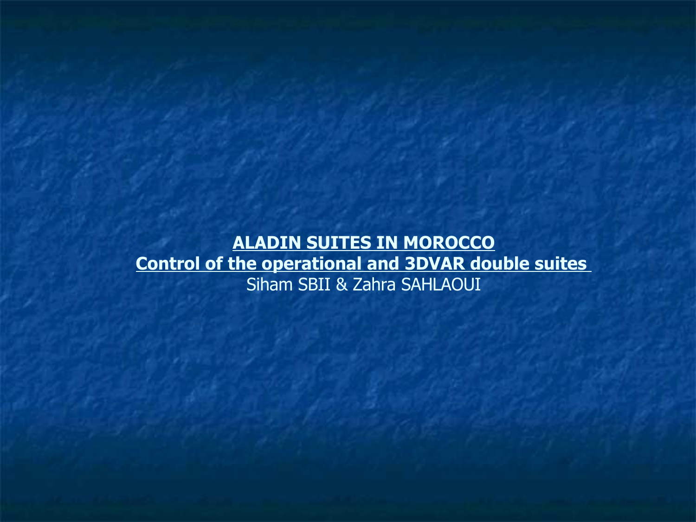**ALADIN SUITES IN MOROCCO Control of the operational and 3DVAR double suites** Siham SBII & Zahra SAHLAOUI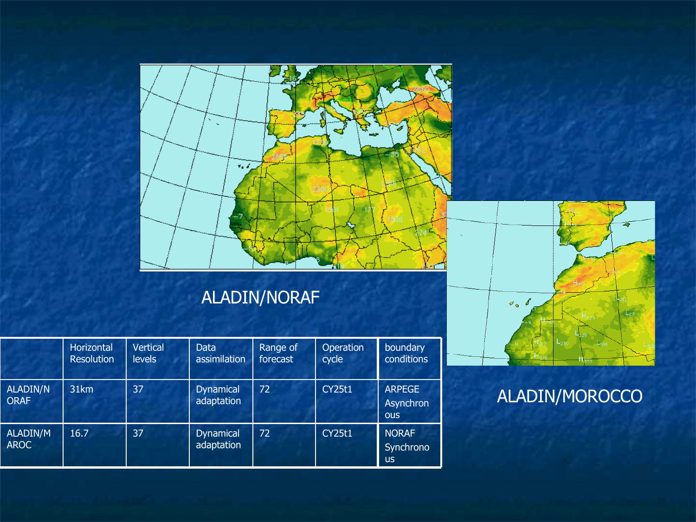

# ALADIN/NORAF

|                                | <b>Horizontal</b><br><b>Resolution</b> | <b>Vertical</b><br><b>levels</b> | Data<br>assimilation           | Range of<br>forecast | Operation<br>cycle | boundary<br>conditions                   |
|--------------------------------|----------------------------------------|----------------------------------|--------------------------------|----------------------|--------------------|------------------------------------------|
| <b>ALADIN/N</b><br><b>ORAF</b> | 31km                                   | 37                               | <b>Dynamical</b><br>adaptation | 72                   | <b>CY25t1</b>      | <b>ARPEGE</b><br>Asynchron<br><b>OUS</b> |
| ALADIN/M<br><b>AROC</b>        | 16.7                                   | 37                               | <b>Dynamical</b><br>adaptation | 72                   | <b>CY25t1</b>      | <b>NORAF</b><br>Synchrono<br><b>us</b>   |



# ALADIN/MOROCCO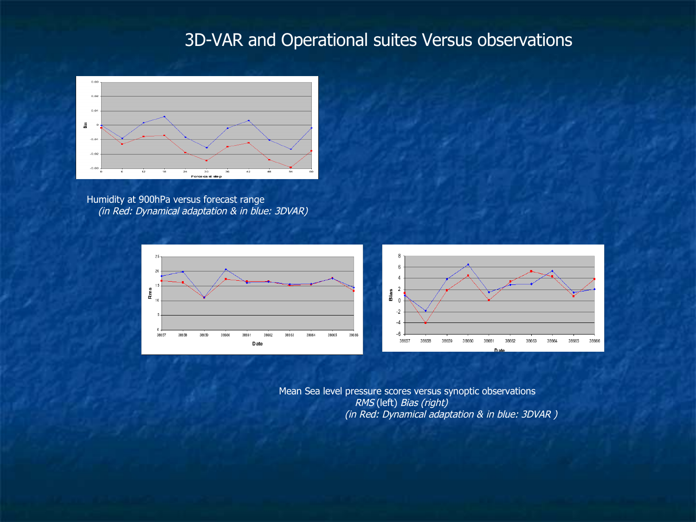## 3D-VAR and Operational suites Versus observations



Humidity at 900hPa versus forecast range (in Red: Dynamical adaptation & in blue: 3DVAR)



Mean Sea level pressure scores versus synoptic observations RMS (left) Bias (right) (in Red: Dynamical adaptation & in blue: 3DVAR )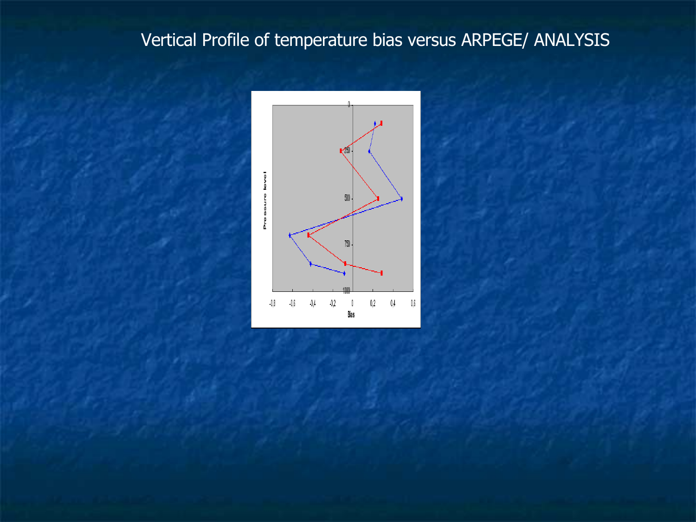## Vertical Profile of temperature bias versus ARPEGE/ ANALYSIS

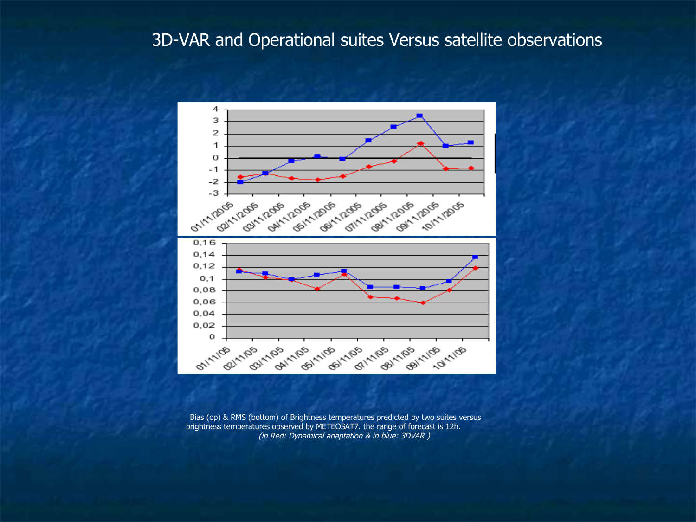## 3D-VAR and Operational suites Versus satellite observations



Bias (op) & RMS (bottom) of Brightness temperatures predicted by two suites versus brightness temperatures observed by METEOSAT7. the range of forecast is 12h. (in Red: Dynamical adaptation & in blue: 3DVAR )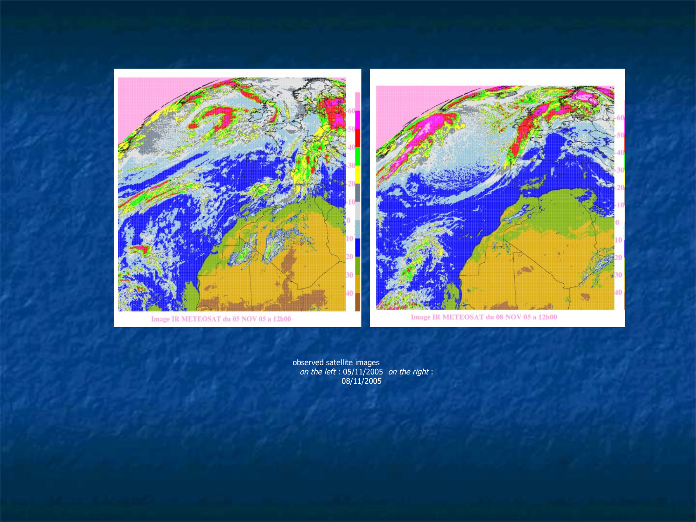

Image IR METEOSAT du 05 NOV 05 a 12h00

Image IR METEOSAT du 08 NOV 05 a 12h00

observed satellite images on the left : 05/11/2005 on the right : 08/11/2005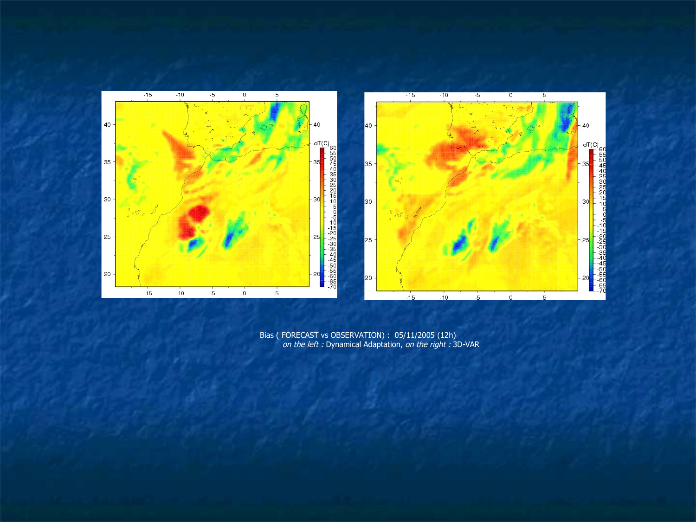

Bias ( FORECAST vs OBSERVATION) : 05/11/2005 (12h) on the left : Dynamical Adaptation, on the right : 3D-VAR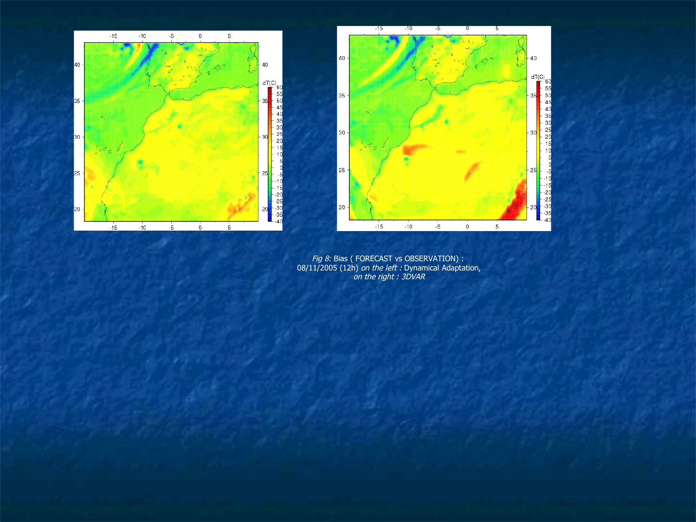



Fig 8: Bias ( FORECAST vs OBSERVATION) : 08/11/2005 (12h) on the left : Dynamical Adaptation, on the right : 3DVAR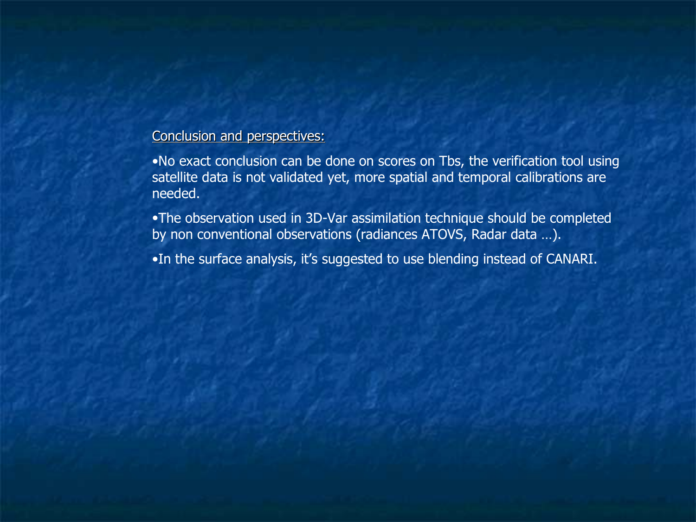### Conclusion and perspectives:

•No exact conclusion can be done on scores on Tbs, the verification tool using satellite data is not validated yet, more spatial and temporal calibrations are needed.

•The observation used in 3D-Var assimilation technique should be completed by non conventional observations (radiances ATOVS, Radar data …).

•In the surface analysis, it's suggested to use blending instead of CANARI.